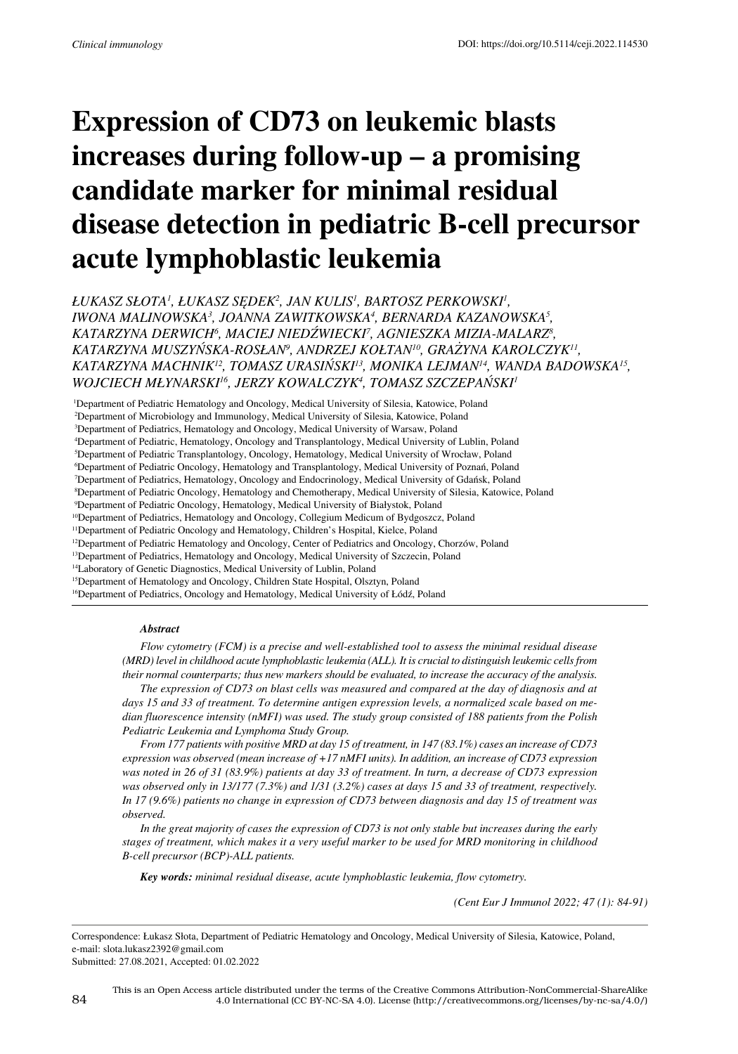# **Expression of CD73 on leukemic blasts increases during follow-up – a promising candidate marker for minimal residual disease detection in pediatric B-cell precursor acute lymphoblastic leukemia**

*Łukasz Słota<sup>1</sup> , Łukasz Sędek<sup>2</sup> , Jan Kulis<sup>1</sup> , Bartosz Perkowski<sup>1</sup> , Iwona Malinowska<sup>3</sup> , Joanna Zawitkowska<sup>4</sup> , Bernarda Kazanowska<sup>5</sup> , Katarzyna Derwich<sup>6</sup> , Maciej Niedźwiecki<sup>7</sup> , Agnieszka Mizia-Malarz<sup>8</sup> , Katarzyna Muszyńska-Rosłan<sup>9</sup> , Andrzej Kołtan10, Grażyna Karolczyk11, Katarzyna Machnik12, Tomasz Urasiński13, Monika Lejman14, Wanda Badowska15, Wojciech Młynarski16, Jerzy Kowalczyk<sup>4</sup> , Tomasz Szczepański<sup>1</sup>*

<sup>1</sup>Department of Pediatric Hematology and Oncology, Medical University of Silesia, Katowice, Poland

2 Department of Microbiology and Immunology, Medical University of Silesia, Katowice, Poland

3 Department of Pediatrics, Hematology and Oncology, Medical University of Warsaw, Poland

4 Department of Pediatric, Hematology, Oncology and Transplantology, Medical University of Lublin, Poland

5 Department of Pediatric Transplantology, Oncology, Hematology, Medical University of Wrocław, Poland

6 Department of Pediatric Oncology, Hematology and Transplantology, Medical University of Poznań, Poland

7 Department of Pediatrics, Hematology, Oncology and Endocrinology, Medical University of Gdańsk, Poland 8 Department of Pediatric Oncology, Hematology and Chemotherapy, Medical University of Silesia, Katowice, Poland

9 Department of Pediatric Oncology, Hematology, Medical University of Białystok, Poland

<sup>10</sup>Department of Pediatrics, Hematology and Oncology, Collegium Medicum of Bydgoszcz, Poland

<sup>11</sup>Department of Pediatric Oncology and Hematology, Children's Hospital, Kielce, Poland

<sup>12</sup>Department of Pediatric Hematology and Oncology, Center of Pediatrics and Oncology, Chorzów, Poland

<sup>13</sup>Department of Pediatrics, Hematology and Oncology, Medical University of Szczecin, Poland

<sup>14</sup>Laboratory of Genetic Diagnostics, Medical University of Lublin, Poland

<sup>15</sup>Department of Hematology and Oncology, Children State Hospital, Olsztyn, Poland

<sup>16</sup>Department of Pediatrics, Oncology and Hematology, Medical University of Łódź, Poland

#### *Abstract*

*Flow cytometry (FCM) is a precise and well-established tool to assess the minimal residual disease (MRD) level in childhood acute lymphoblastic leukemia (ALL). It is crucial to distinguish leukemic cells from their normal counterparts; thus new markers should be evaluated, to increase the accuracy of the analysis.* 

*The expression of CD73 on blast cells was measured and compared at the day of diagnosis and at days 15 and 33 of treatment. To determine antigen expression levels, a normalized scale based on median fluorescence intensity (nMFI) was used. The study group consisted of 188 patients from the Polish Pediatric Leukemia and Lymphoma Study Group.* 

*From 177 patients with positive MRD at day 15 of treatment, in 147 (83.1%) cases an increase of CD73 expression was observed (mean increase of +17 nMFI units). In addition, an increase of CD73 expression was noted in 26 of 31 (83.9%) patients at day 33 of treatment. In turn, a decrease of CD73 expression was observed only in 13/177 (7.3%) and 1/31 (3.2%) cases at days 15 and 33 of treatment, respectively. In 17 (9.6%) patients no change in expression of CD73 between diagnosis and day 15 of treatment was observed.*

*In the great majority of cases the expression of CD73 is not only stable but increases during the early stages of treatment, which makes it a very useful marker to be used for MRD monitoring in childhood B-cell precursor (BCP)-ALL patients.*

*Key words: minimal residual disease, acute lymphoblastic leukemia, flow cytometry.*

*(Cent Eur J Immunol 2022; 47 (1): 84-91)*

Correspondence: Łukasz Słota, Department of Pediatric Hematology and Oncology, Medical University of Silesia, Katowice, Poland, e-mail: slota.lukasz2392@gmail.com Submitted: 27.08.2021, Accepted: 01.02.2022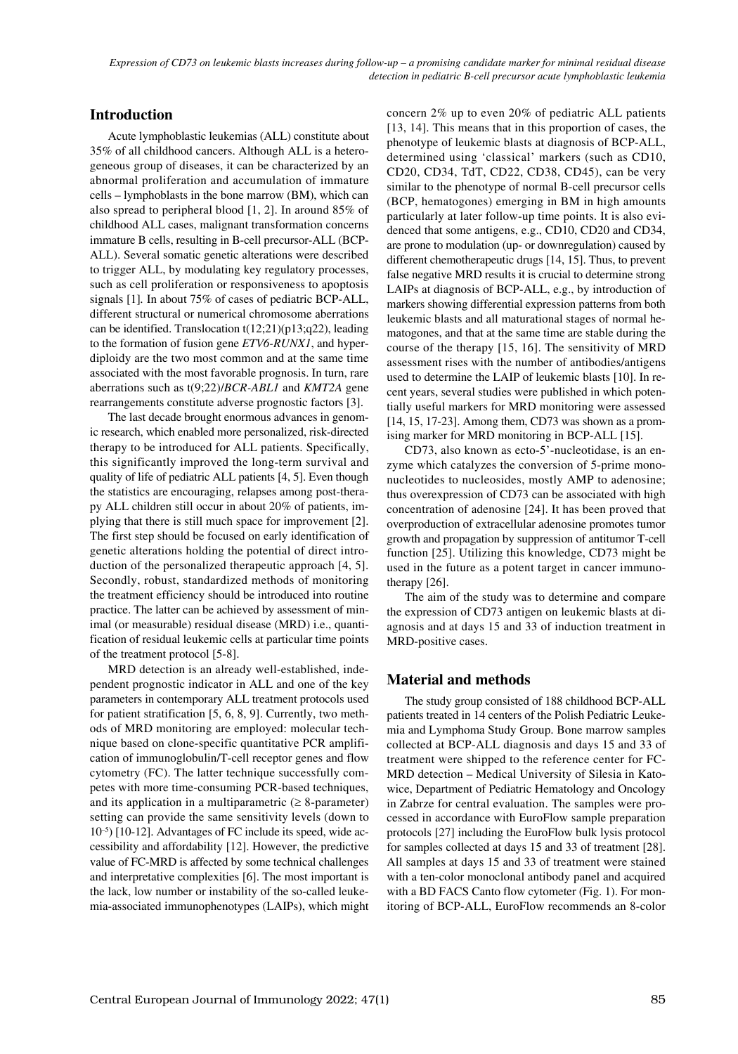# **Introduction**

Acute lymphoblastic leukemias (ALL) constitute about 35% of all childhood cancers. Although ALL is a heterogeneous group of diseases, it can be characterized by an abnormal proliferation and accumulation of immature cells – lymphoblasts in the bone marrow (BM), which can also spread to peripheral blood [1, 2]. In around 85% of childhood ALL cases, malignant transformation concerns immature B cells, resulting in B-cell precursor-ALL (BCP-ALL). Several somatic genetic alterations were described to trigger ALL, by modulating key regulatory processes, such as cell proliferation or responsiveness to apoptosis signals [1]*.* In about 75% of cases of pediatric BCP-ALL, different structural or numerical chromosome aberrations can be identified. Translocation t(12;21)(p13;q22), leading to the formation of fusion gene *ETV6-RUNX1*, and hyperdiploidy are the two most common and at the same time associated with the most favorable prognosis. In turn, rare aberrations such as t(9;22)/*BCR-ABL1* and *KMT2A* gene rearrangements constitute adverse prognostic factors [3].

The last decade brought enormous advances in genomic research, which enabled more personalized, risk-directed therapy to be introduced for ALL patients. Specifically, this significantly improved the long-term survival and quality of life of pediatric ALL patients [4, 5]. Even though the statistics are encouraging, relapses among post-therapy ALL children still occur in about 20% of patients, implying that there is still much space for improvement [2]. The first step should be focused on early identification of genetic alterations holding the potential of direct introduction of the personalized therapeutic approach [4, 5]. Secondly, robust, standardized methods of monitoring the treatment efficiency should be introduced into routine practice. The latter can be achieved by assessment of minimal (or measurable) residual disease (MRD) i.e., quantification of residual leukemic cells at particular time points of the treatment protocol [5-8].

MRD detection is an already well-established, independent prognostic indicator in ALL and one of the key parameters in contemporary ALL treatment protocols used for patient stratification [5, 6, 8, 9]. Currently, two methods of MRD monitoring are employed: molecular technique based on clone-specific quantitative PCR amplification of immunoglobulin/T-cell receptor genes and flow cytometry (FC). The latter technique successfully competes with more time-consuming PCR-based techniques, and its application in a multiparametric  $(≥ 8$ -parameter) setting can provide the same sensitivity levels (down to  $10^{-5}$ ) [10-12]. Advantages of FC include its speed, wide accessibility and affordability [12]. However, the predictive value of FC-MRD is affected by some technical challenges and interpretative complexities [6]. The most important is the lack, low number or instability of the so-called leukemia-associated immunophenotypes (LAIPs), which might

concern 2% up to even 20% of pediatric ALL patients [13, 14]. This means that in this proportion of cases, the phenotype of leukemic blasts at diagnosis of BCP-ALL, determined using 'classical' markers (such as CD10, CD20, CD34, TdT, CD22, CD38, CD45), can be very similar to the phenotype of normal B-cell precursor cells (BCP, hematogones) emerging in BM in high amounts particularly at later follow-up time points. It is also evidenced that some antigens, e.g., CD10, CD20 and CD34, are prone to modulation (up- or downregulation) caused by different chemotherapeutic drugs [14, 15]. Thus, to prevent false negative MRD results it is crucial to determine strong LAIPs at diagnosis of BCP-ALL, e.g., by introduction of markers showing differential expression patterns from both leukemic blasts and all maturational stages of normal hematogones, and that at the same time are stable during the course of the therapy [15, 16]. The sensitivity of MRD assessment rises with the number of antibodies/antigens used to determine the LAIP of leukemic blasts [10]. In recent years, several studies were published in which potentially useful markers for MRD monitoring were assessed [14, 15, 17-23]. Among them, CD73 was shown as a promising marker for MRD monitoring in BCP-ALL [15].

CD73, also known as ecto-5'-nucleotidase, is an enzyme which catalyzes the conversion of 5-prime mononucleotides to nucleosides, mostly AMP to adenosine; thus overexpression of CD73 can be associated with high concentration of adenosine [24]. It has been proved that overproduction of extracellular adenosine promotes tumor growth and propagation by suppression of antitumor T-cell function [25]. Utilizing this knowledge, CD73 might be used in the future as a potent target in cancer immunotherapy [26].

The aim of the study was to determine and compare the expression of CD73 antigen on leukemic blasts at diagnosis and at days 15 and 33 of induction treatment in MRD-positive cases.

# **Material and methods**

The study group consisted of 188 childhood BCP-ALL patients treated in 14 centers of the Polish Pediatric Leukemia and Lymphoma Study Group. Bone marrow samples collected at BCP-ALL diagnosis and days 15 and 33 of treatment were shipped to the reference center for FC-MRD detection – Medical University of Silesia in Katowice, Department of Pediatric Hematology and Oncology in Zabrze for central evaluation. The samples were processed in accordance with EuroFlow sample preparation protocols [27] including the EuroFlow bulk lysis protocol for samples collected at days 15 and 33 of treatment [28]. All samples at days 15 and 33 of treatment were stained with a ten-color monoclonal antibody panel and acquired with a BD FACS Canto flow cytometer (Fig. 1). For monitoring of BCP-ALL, EuroFlow recommends an 8-color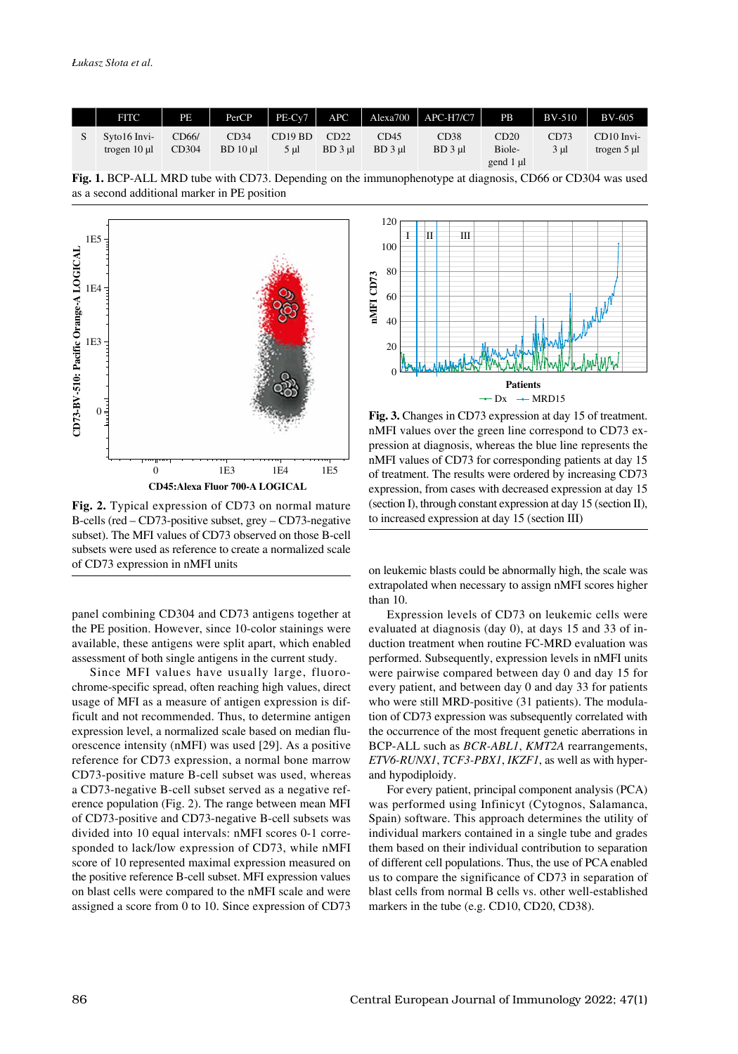| <b>FITC</b>                  | PE             | PerCP           | $PE-Cv7$        |                     |                     | $APC$   Alexa700   APC-H7/C7 | PB                          | BV-510       | <b>BV-605</b>                  |
|------------------------------|----------------|-----------------|-----------------|---------------------|---------------------|------------------------------|-----------------------------|--------------|--------------------------------|
| Syto16 Invi-<br>trogen 10 ul | CD66/<br>CD304 | CD34<br>BD10 ul | CD19 BD<br>5 ul | CD22<br>$BD$ 3 $ul$ | CD45<br>$BD$ 3 $ul$ | CD38<br>$BD$ 3 $ul$          | CD20<br>Biole-<br>gend 1 µl | CD73<br>3 ul | $CD10$ Invi-<br>trogen $5 \mu$ |





**Fig. 2.** Typical expression of CD73 on normal mature B-cells (red – CD73-positive subset, grey – CD73-negative subset). The MFI values of CD73 observed on those B-cell subsets were used as reference to create a normalized scale

panel combining CD304 and CD73 antigens together at the PE position. However, since 10-color stainings were available, these antigens were split apart, which enabled assessment of both single antigens in the current study.

Since MFI values have usually large, fluorochrome-specific spread, often reaching high values, direct usage of MFI as a measure of antigen expression is difficult and not recommended. Thus, to determine antigen expression level, a normalized scale based on median fluorescence intensity (nMFI) was used [29]. As a positive reference for CD73 expression, a normal bone marrow CD73-positive mature B-cell subset was used, whereas a CD73-negative B-cell subset served as a negative reference population (Fig. 2). The range between mean MFI of CD73-positive and CD73-negative B-cell subsets was divided into 10 equal intervals: nMFI scores 0-1 corresponded to lack/low expression of CD73, while nMFI score of 10 represented maximal expression measured on the positive reference B-cell subset. MFI expression values on blast cells were compared to the nMFI scale and were assigned a score from 0 to 10. Since expression of CD73



**Fig. 3.** Changes in CD73 expression at day 15 of treatment. nMFI values over the green line correspond to CD73 expression at diagnosis, whereas the blue line represents the nMFI values of CD73 for corresponding patients at day 15 of treatment. The results were ordered by increasing CD73 expression, from cases with decreased expression at day 15 (section I), through constant expression at day 15 (section II),

on leukemic blasts could be abnormally high, the scale was extrapolated when necessary to assign nMFI scores higher than 10.

Expression levels of CD73 on leukemic cells were evaluated at diagnosis (day 0), at days 15 and 33 of induction treatment when routine FC-MRD evaluation was performed. Subsequently, expression levels in nMFI units were pairwise compared between day 0 and day 15 for every patient, and between day 0 and day 33 for patients who were still MRD-positive (31 patients). The modulation of CD73 expression was subsequently correlated with the occurrence of the most frequent genetic aberrations in BCP-ALL such as *BCR-ABL1*, *KMT2A* rearrangements, *ETV6-RUNX1*, *TCF3-PBX1*, *IKZF1*, as well as with hyperand hypodiploidy.

For every patient, principal component analysis (PCA) was performed using Infinicyt (Cytognos, Salamanca, Spain) software. This approach determines the utility of individual markers contained in a single tube and grades them based on their individual contribution to separation of different cell populations. Thus, the use of PCA enabled us to compare the significance of CD73 in separation of blast cells from normal B cells vs. other well-established markers in the tube (e.g. CD10, CD20, CD38).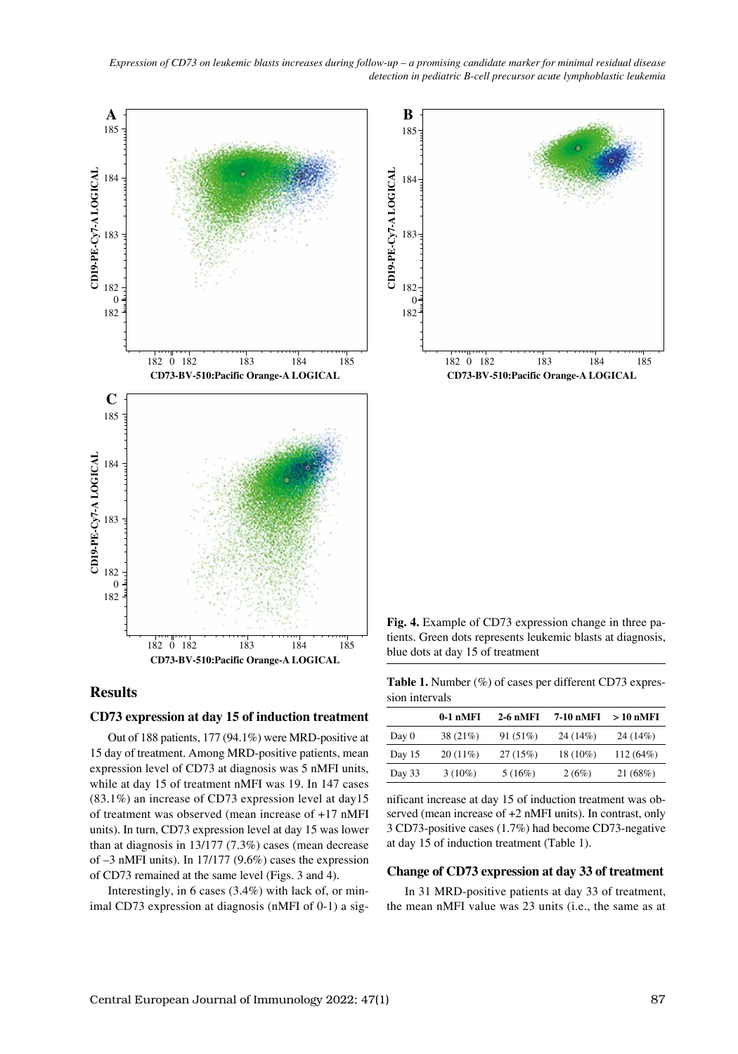

## **Results**

### **CD73 expression at day 15 of induction treatment**

Out of 188 patients, 177 (94.1%) were MRD-positive at 15 day of treatment. Among MRD-positive patients, mean expression level of CD73 at diagnosis was 5 nMFI units, while at day 15 of treatment nMFI was 19. In 147 cases (83.1%) an increase of CD73 expression level at day15 of treatment was observed (mean increase of +17 nMFI units). In turn, CD73 expression level at day 15 was lower than at diagnosis in 13/177 (7.3%) cases (mean decrease of –3 nMFI units). In 17/177 (9.6%) cases the expression of CD73 remained at the same level (Figs. 3 and 4).

Interestingly, in 6 cases (3.4%) with lack of, or min-

Table 1. Number (%) of cases per different CD73 expression intervals

|        | $0-1$ nMFI | $2-6$ nMFI | 7-10 nMFI | > 10 nMFI |
|--------|------------|------------|-----------|-----------|
| Day 0  | $38(21\%)$ | 91(51%)    | 24 (14%)  | 24 (14%)  |
| Day 15 | $20(11\%)$ | 27(15%)    | 18 (10%)  | 112(64%)  |
| Day 33 | $3(10\%)$  | 5(16%)     | 2(6%)     | 21(68%)   |

nificant increase at day 15 of induction treatment was observed (mean increase of +2 nMFI units). In contrast, only 3 CD73-positive cases (1.7%) had become CD73-negative at day 15 of induction treatment (Table 1).

#### **Change of CD73 expression at day 33 of treatment**

In 31 MRD-positive patients at day 33 of treatment, the mean nMFI value was 23 units (i.e., the same as at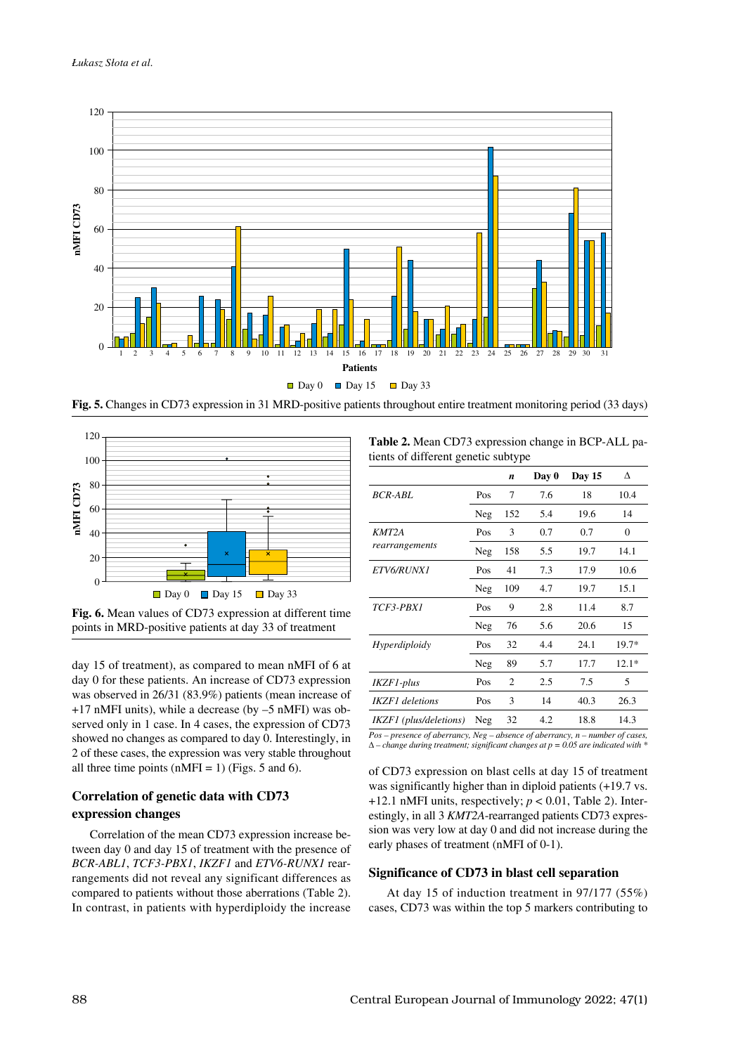



**Fig. 6.** Mean values of CD73 expression at different time points in MRD-positive patients at day 33 of treatment

day 15 of treatment), as compared to mean nMFI of 6 at day 0 for these patients. An increase of CD73 expression was observed in 26/31 (83.9%) patients (mean increase of +17 nMFI units), while a decrease (by –5 nMFI) was observed only in 1 case. In 4 cases, the expression of CD73 showed no changes as compared to day 0. Interestingly, in 2 of these cases, the expression was very stable throughout all three time points (nMFI = 1) (Figs. 5 and 6).

# **Correlation of genetic data with CD73 expression changes**

Correlation of the mean CD73 expression increase between day 0 and day 15 of treatment with the presence of *BCR-ABL1*, *TCF3-PBX1*, *IKZF1* and *ETV6-RUNX1* rearrangements did not reveal any significant differences as compared to patients without those aberrations (Table 2). In contrast, in patients with hyperdiploidy the increase

**Table 2.** Mean CD73 expression change in BCP-ALL patients of different genetic subtype

|                        |     | n              | Day 0 | <b>Day 15</b> | Δ                |
|------------------------|-----|----------------|-------|---------------|------------------|
| <b>BCR-ABL</b>         | Pos | 7              | 7.6   | 18            | 10.4             |
|                        | Neg | 152            | 5.4   | 19.6          | 14               |
| KMT2A                  | Pos | 3              | 0.7   | 0.7           | $\boldsymbol{0}$ |
| rearrangements         | Neg | 158            | 5.5   | 19.7          | 14.1             |
| <i>ETV6/RUNX1</i>      | Pos | 41             | 7.3   | 17.9          | 10.6             |
|                        | Neg | 109            | 4.7   | 19.7          | 15.1             |
| TCF3-PBX1              | Pos | 9              | 2.8   | 11.4          | 8.7              |
|                        | Neg | 76             | 5.6   | 20.6          | 15               |
| Hyperdiploidy          | Pos | 32             | 4.4   | 24.1          | $19.7*$          |
|                        | Neg | 89             | 5.7   | 17.7          | $12.1*$          |
| IKZF1-plus             | Pos | $\overline{2}$ | 2.5   | 7.5           | 5                |
| IKZF1 deletions        | Pos | 3              | 14    | 40.3          | 26.3             |
| IKZF1 (plus/deletions) | Neg | 32             | 4.2   | 18.8          | 14.3             |
|                        |     |                |       |               |                  |

*Pos – presence of aberrancy, Neg – absence of aberrancy, n – number of cases,*  Δ *– change during treatment; significant changes at p = 0.05 are indicated with \**

of CD73 expression on blast cells at day 15 of treatment was significantly higher than in diploid patients (+19.7 vs.  $+12.1$  nMFI units, respectively;  $p < 0.01$ , Table 2). Interestingly, in all 3 *KMT2A*-rearranged patients CD73 expression was very low at day 0 and did not increase during the early phases of treatment (nMFI of 0-1).

#### **Significance of CD73 in blast cell separation**

At day 15 of induction treatment in 97/177 (55%) cases, CD73 was within the top 5 markers contributing to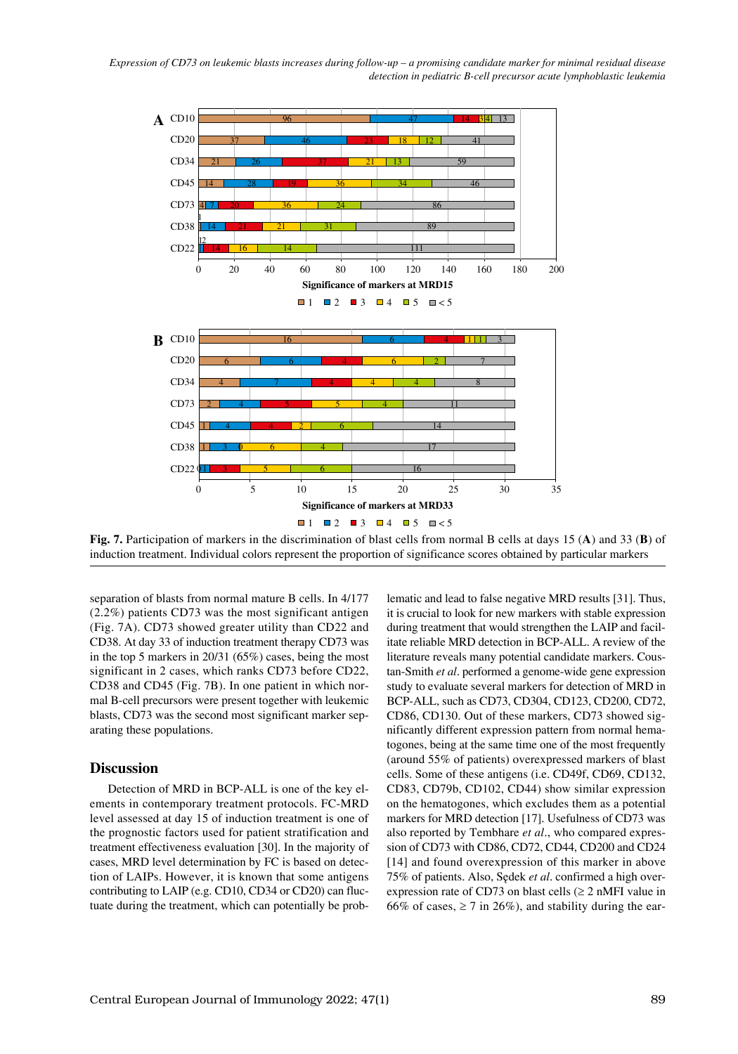*Expression of CD73 on leukemic blasts increases during follow-up – a promising candidate marker for minimal residual disease detection in pediatric B-cell precursor acute lymphoblastic leukemia*



**Fig. 7.** Participation of markers in the discrimination of blast cells from normal B cells at days 15 (**A**) and 33 (**B**) of induction treatment. Individual colors represent the proportion of significance scores obtained by particular markers

separation of blasts from normal mature B cells. In 4/177 (2.2%) patients CD73 was the most significant antigen (Fig. 7A). CD73 showed greater utility than CD22 and CD38. At day 33 of induction treatment therapy CD73 was in the top 5 markers in 20/31 (65%) cases, being the most significant in 2 cases, which ranks CD73 before CD22, CD38 and CD45 (Fig. 7B). In one patient in which normal B-cell precursors were present together with leukemic blasts, CD73 was the second most significant marker separating these populations.

## **Discussion**

Detection of MRD in BCP-ALL is one of the key elements in contemporary treatment protocols. FC-MRD level assessed at day 15 of induction treatment is one of the prognostic factors used for patient stratification and treatment effectiveness evaluation [30]. In the majority of cases, MRD level determination by FC is based on detection of LAIPs. However, it is known that some antigens contributing to LAIP (e.g. CD10, CD34 or CD20) can fluctuate during the treatment, which can potentially be problematic and lead to false negative MRD results [31]. Thus, it is crucial to look for new markers with stable expression during treatment that would strengthen the LAIP and facilitate reliable MRD detection in BCP-ALL. A review of the literature reveals many potential candidate markers. Coustan-Smith *et al*. performed a genome-wide gene expression study to evaluate several markers for detection of MRD in BCP-ALL, such as CD73, CD304, CD123, CD200, CD72, CD86, CD130. Out of these markers, CD73 showed significantly different expression pattern from normal hematogones, being at the same time one of the most frequently (around 55% of patients) overexpressed markers of blast cells. Some of these antigens (i.e. CD49f, CD69, CD132, CD83, CD79b, CD102, CD44) show similar expression on the hematogones, which excludes them as a potential markers for MRD detection [17]. Usefulness of CD73 was also reported by Tembhare *et al*., who compared expression of CD73 with CD86, CD72, CD44, CD200 and CD24 [14] and found overexpression of this marker in above 75% of patients. Also, Sędek *et al*. confirmed a high overexpression rate of CD73 on blast cells  $(\geq 2 \text{ nMFI}$  value in 66% of cases,  $\geq$  7 in 26%), and stability during the ear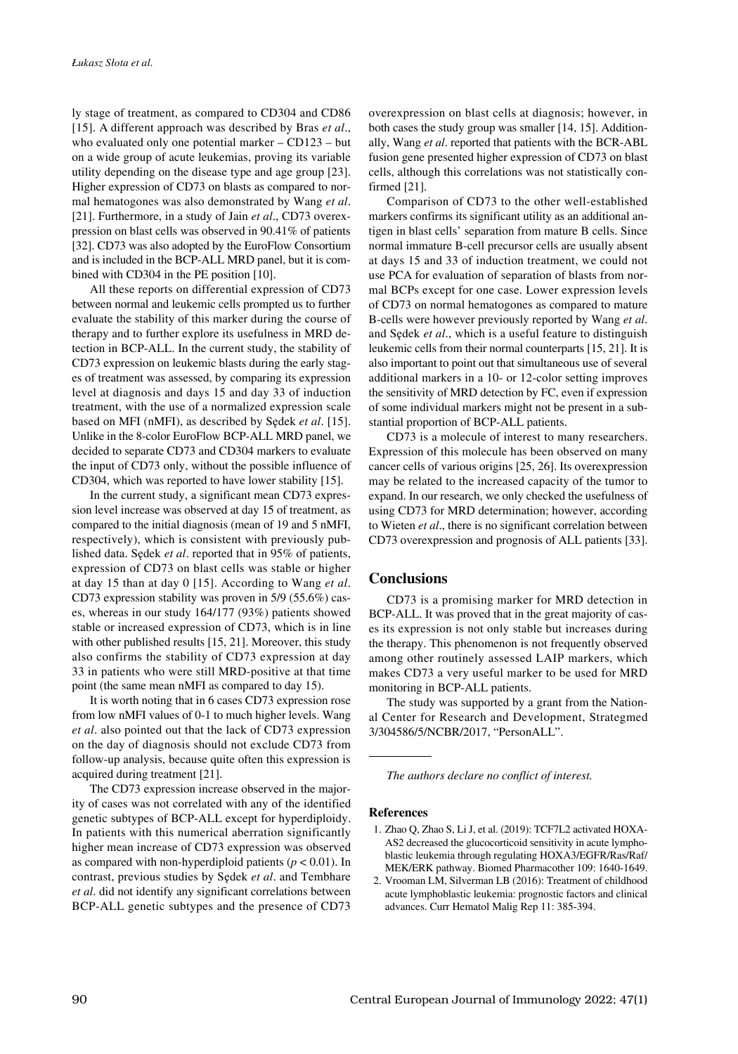ly stage of treatment, as compared to CD304 and CD86 [15]. A different approach was described by Bras *et al*., who evaluated only one potential marker – CD123 – but on a wide group of acute leukemias, proving its variable utility depending on the disease type and age group [23]. Higher expression of CD73 on blasts as compared to normal hematogones was also demonstrated by Wang *et al*. [21]. Furthermore, in a study of Jain *et al*., CD73 overexpression on blast cells was observed in 90.41% of patients [32]. CD73 was also adopted by the EuroFlow Consortium and is included in the BCP-ALL MRD panel, but it is combined with CD304 in the PE position [10].

All these reports on differential expression of CD73 between normal and leukemic cells prompted us to further evaluate the stability of this marker during the course of therapy and to further explore its usefulness in MRD detection in BCP-ALL. In the current study, the stability of CD73 expression on leukemic blasts during the early stages of treatment was assessed, by comparing its expression level at diagnosis and days 15 and day 33 of induction treatment, with the use of a normalized expression scale based on MFI (nMFI), as described by Sędek *et al*. [15]. Unlike in the 8-color EuroFlow BCP-ALL MRD panel, we decided to separate CD73 and CD304 markers to evaluate the input of CD73 only, without the possible influence of CD304, which was reported to have lower stability [15].

In the current study, a significant mean CD73 expression level increase was observed at day 15 of treatment, as compared to the initial diagnosis (mean of 19 and 5 nMFI, respectively), which is consistent with previously published data. Sędek *et al*. reported that in 95% of patients, expression of CD73 on blast cells was stable or higher at day 15 than at day 0 [15]. According to Wang *et al*. CD73 expression stability was proven in 5/9 (55.6%) cases, whereas in our study 164/177 (93%) patients showed stable or increased expression of CD73, which is in line with other published results [15, 21]. Moreover, this study also confirms the stability of CD73 expression at day 33 in patients who were still MRD-positive at that time point (the same mean nMFI as compared to day 15).

It is worth noting that in 6 cases CD73 expression rose from low nMFI values of 0-1 to much higher levels. Wang *et al*. also pointed out that the lack of CD73 expression on the day of diagnosis should not exclude CD73 from follow-up analysis, because quite often this expression is acquired during treatment [21].

The CD73 expression increase observed in the majority of cases was not correlated with any of the identified genetic subtypes of BCP-ALL except for hyperdiploidy. In patients with this numerical aberration significantly higher mean increase of CD73 expression was observed as compared with non-hyperdiploid patients  $(p < 0.01)$ . In contrast, previous studies by Sędek *et al*. and Tembhare *et al*. did not identify any significant correlations between BCP-ALL genetic subtypes and the presence of CD73 overexpression on blast cells at diagnosis; however, in both cases the study group was smaller [14, 15]. Additionally, Wang *et al*. reported that patients with the BCR-ABL fusion gene presented higher expression of CD73 on blast cells, although this correlations was not statistically confirmed [21].

Comparison of CD73 to the other well-established markers confirms its significant utility as an additional antigen in blast cells' separation from mature B cells. Since normal immature B-cell precursor cells are usually absent at days 15 and 33 of induction treatment, we could not use PCA for evaluation of separation of blasts from normal BCPs except for one case. Lower expression levels of CD73 on normal hematogones as compared to mature B-cells were however previously reported by Wang *et al*. and Sędek *et al*., which is a useful feature to distinguish leukemic cells from their normal counterparts [15, 21]. It is also important to point out that simultaneous use of several additional markers in a 10- or 12-color setting improves the sensitivity of MRD detection by FC, even if expression of some individual markers might not be present in a substantial proportion of BCP-ALL patients.

CD73 is a molecule of interest to many researchers. Expression of this molecule has been observed on many cancer cells of various origins [25, 26]. Its overexpression may be related to the increased capacity of the tumor to expand. In our research, we only checked the usefulness of using CD73 for MRD determination; however, according to Wieten *et al*., there is no significant correlation between CD73 overexpression and prognosis of ALL patients [33].

## **Conclusions**

CD73 is a promising marker for MRD detection in BCP-ALL. It was proved that in the great majority of cases its expression is not only stable but increases during the therapy. This phenomenon is not frequently observed among other routinely assessed LAIP markers, which makes CD73 a very useful marker to be used for MRD monitoring in BCP-ALL patients.

The study was supported by a grant from the National Center for Research and Development, Strategmed 3/304586/5/NCBR/2017, "PersonALL".

*The authors declare no conflict of interest.*

#### **References**

- 1. Zhao Q, Zhao S, Li J, et al. (2019): TCF7L2 activated HOXA-AS2 decreased the glucocorticoid sensitivity in acute lymphoblastic leukemia through regulating HOXA3/EGFR/Ras/Raf/ MEK/ERK pathway. Biomed Pharmacother 109: 1640-1649.
- 2. Vrooman LM, Silverman LB (2016): Treatment of childhood acute lymphoblastic leukemia: prognostic factors and clinical advances. Curr Hematol Malig Rep 11: 385-394.